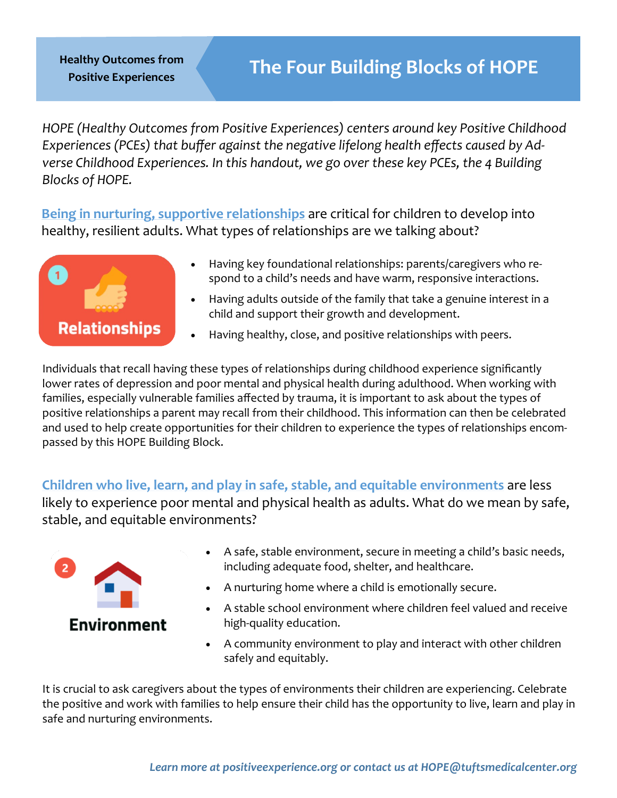**Positive Experiences**

*HOPE (Healthy Outcomes from Positive Experiences) centers around key Positive Childhood Experiences (PCEs) that buffer against the negative lifelong health effects caused by Adverse Childhood Experiences. In this handout, we go over these key PCEs, the 4 Building Blocks of HOPE.*

**Being in nurturing, supportive relationships** are critical for children to develop into healthy, resilient adults. What types of relationships are we talking about?



- Having key foundational relationships: parents/caregivers who respond to a child's needs and have warm, responsive interactions.
- Having adults outside of the family that take a genuine interest in a child and support their growth and development.
- Having healthy, close, and positive relationships with peers.

Individuals that recall having these types of relationships during childhood experience significantly lower rates of depression and poor mental and physical health during adulthood. When working with families, especially vulnerable families affected by trauma, it is important to ask about the types of positive relationships a parent may recall from their childhood. This information can then be celebrated and used to help create opportunities for their children to experience the types of relationships encompassed by this HOPE Building Block.

**Children who live, learn, and play in safe, stable, and equitable environments** are less likely to experience poor mental and physical health as adults. What do we mean by safe, stable, and equitable environments?



- A safe, stable environment, secure in meeting a child's basic needs, including adequate food, shelter, and healthcare.
- A nurturing home where a child is emotionally secure.
- A stable school environment where children feel valued and receive high-quality education.
- A community environment to play and interact with other children safely and equitably.

It is crucial to ask caregivers about the types of environments their children are experiencing. Celebrate the positive and work with families to help ensure their child has the opportunity to live, learn and play in safe and nurturing environments.